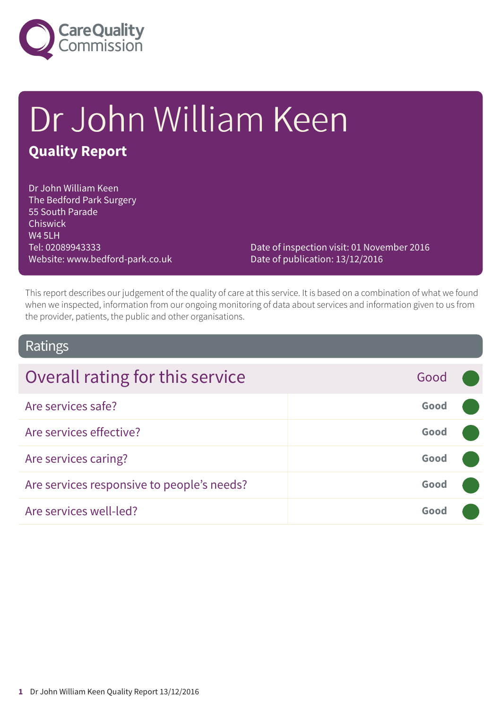

# Dr John William Keen **Quality Report**

Dr John William Keen The Bedford Park Surgery 55 South Parade Chiswick W4 5LH Tel: 02089943333 Website: www.bedford-park.co.uk

Date of inspection visit: 01 November 2016 Date of publication: 13/12/2016

This report describes our judgement of the quality of care at this service. It is based on a combination of what we found when we inspected, information from our ongoing monitoring of data about services and information given to us from the provider, patients, the public and other organisations.

### Ratings

| Overall rating for this service            | Good |  |
|--------------------------------------------|------|--|
| Are services safe?                         | Good |  |
| Are services effective?                    | Good |  |
| Are services caring?                       | Good |  |
| Are services responsive to people's needs? | Good |  |
| Are services well-led?                     | Good |  |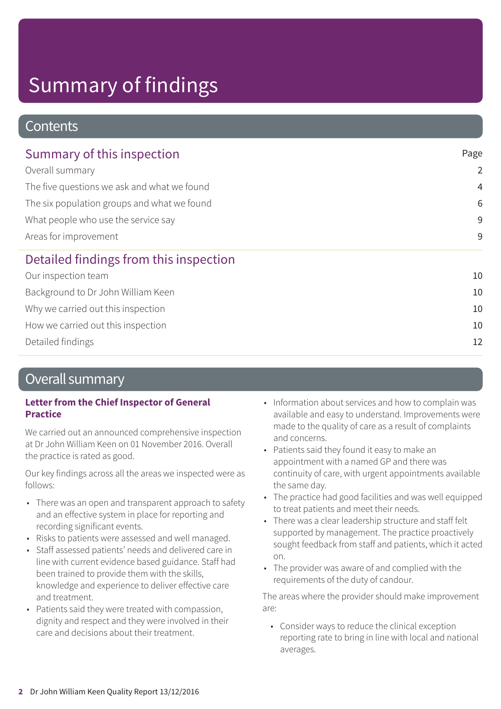### **Contents**

| Summary of this inspection                                                                                                                                                    | Page           |
|-------------------------------------------------------------------------------------------------------------------------------------------------------------------------------|----------------|
| Overall summary<br>The five questions we ask and what we found<br>The six population groups and what we found<br>What people who use the service say<br>Areas for improvement | 2              |
|                                                                                                                                                                               | $\overline{4}$ |
|                                                                                                                                                                               | 6              |
|                                                                                                                                                                               | 9              |
|                                                                                                                                                                               | 9              |
| Detailed findings from this inspection                                                                                                                                        |                |
| Our inspection team                                                                                                                                                           | 10             |
| Background to Dr John William Keen                                                                                                                                            | 10             |
| Why we carried out this inspection                                                                                                                                            | 10             |
| How we carried out this inspection                                                                                                                                            | 10             |
| Detailed findings                                                                                                                                                             | 12             |

### Overall summary

### **Letter from the Chief Inspector of General Practice**

We carried out an announced comprehensive inspection at Dr John William Keen on 01 November 2016. Overall the practice is rated as good.

Our key findings across all the areas we inspected were as follows:

- There was an open and transparent approach to safety and an effective system in place for reporting and recording significant events.
- Risks to patients were assessed and well managed.
- Staff assessed patients' needs and delivered care in line with current evidence based guidance. Staff had been trained to provide them with the skills, knowledge and experience to deliver effective care and treatment.
- Patients said they were treated with compassion, dignity and respect and they were involved in their care and decisions about their treatment.
- Information about services and how to complain was available and easy to understand. Improvements were made to the quality of care as a result of complaints and concerns.
- Patients said they found it easy to make an appointment with a named GP and there was continuity of care, with urgent appointments available the same day.
- The practice had good facilities and was well equipped to treat patients and meet their needs.
- There was a clear leadership structure and staff felt supported by management. The practice proactively sought feedback from staff and patients, which it acted on.
- The provider was aware of and complied with the requirements of the duty of candour.

The areas where the provider should make improvement are:

• Consider ways to reduce the clinical exception reporting rate to bring in line with local and national averages.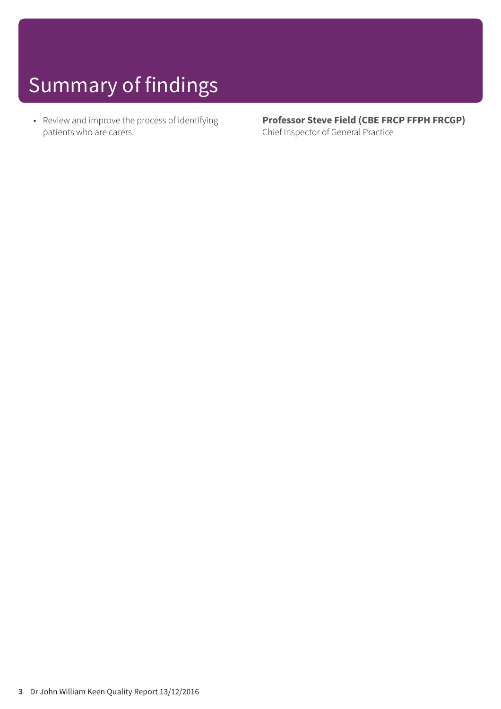• Review and improve the process of identifying patients who are carers.

**Professor Steve Field (CBE FRCP FFPH FRCGP)** Chief Inspector of General Practice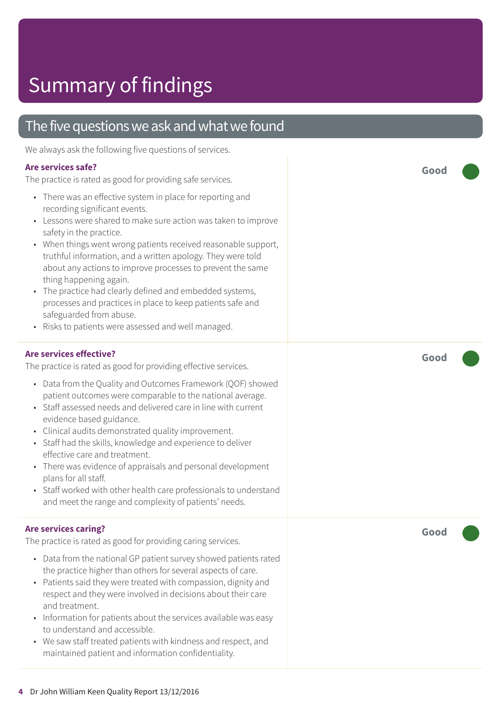### The five questions we ask and what we found

We always ask the following five questions of services.

#### **Are services safe?**

The practice is rated as good for providing safe services.

- There was an effective system in place for reporting and recording significant events.
- Lessons were shared to make sure action was taken to improve safety in the practice.
- When things went wrong patients received reasonable support, truthful information, and a written apology. They were told about any actions to improve processes to prevent the same thing happening again.
- The practice had clearly defined and embedded systems, processes and practices in place to keep patients safe and safeguarded from abuse.
- Risks to patients were assessed and well managed.

#### **Are services effective?**

The practice is rated as good for providing effective services.

- Data from the Quality and Outcomes Framework (QOF) showed patient outcomes were comparable to the national average.
- Staff assessed needs and delivered care in line with current evidence based guidance.
- Clinical audits demonstrated quality improvement.
- Staff had the skills, knowledge and experience to deliver effective care and treatment.
- There was evidence of appraisals and personal development plans for all staff.
- Staff worked with other health care professionals to understand and meet the range and complexity of patients' needs.

#### **Are services caring?**

The practice is rated as good for providing caring services.

- Data from the national GP patient survey showed patients rated the practice higher than others for several aspects of care.
- Patients said they were treated with compassion, dignity and respect and they were involved in decisions about their care and treatment.
- Information for patients about the services available was easy to understand and accessible.
- We saw staff treated patients with kindness and respect, and maintained patient and information confidentiality.

**Good –––**

**Good –––**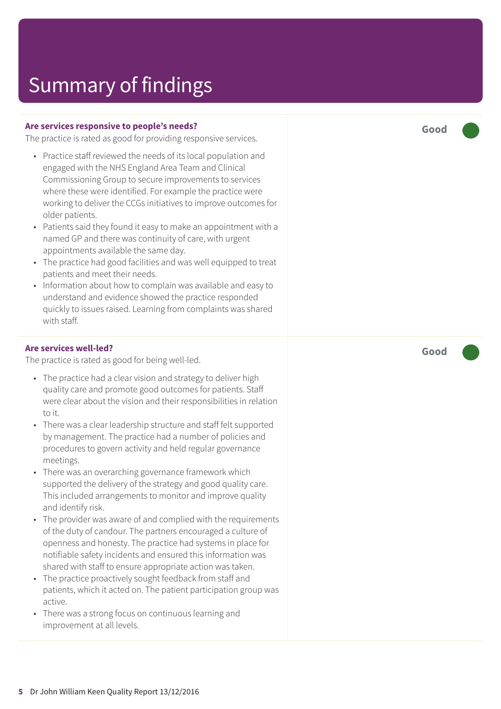#### **Are services responsive to people's needs?**

The practice is rated as good for providing responsive services.

- Practice staff reviewed the needs of its local population and engaged with the NHS England Area Team and Clinical Commissioning Group to secure improvements to services where these were identified. For example the practice were working to deliver the CCGs initiatives to improve outcomes for older patients.
- Patients said they found it easy to make an appointment with a named GP and there was continuity of care, with urgent appointments available the same day.
- The practice had good facilities and was well equipped to treat patients and meet their needs.
- Information about how to complain was available and easy to understand and evidence showed the practice responded quickly to issues raised. Learning from complaints was shared with staff.

#### **Are services well-led?**

The practice is rated as good for being well-led.

- The practice had a clear vision and strategy to deliver high quality care and promote good outcomes for patients. Staff were clear about the vision and their responsibilities in relation to it.
- There was a clear leadership structure and staff felt supported by management. The practice had a number of policies and procedures to govern activity and held regular governance meetings.
- There was an overarching governance framework which supported the delivery of the strategy and good quality care. This included arrangements to monitor and improve quality and identify risk.
- The provider was aware of and complied with the requirements of the duty of candour. The partners encouraged a culture of openness and honesty. The practice had systems in place for notifiable safety incidents and ensured this information was shared with staff to ensure appropriate action was taken.
- The practice proactively sought feedback from staff and patients, which it acted on. The patient participation group was active.
- There was a strong focus on continuous learning and improvement at all levels.

**Good –––**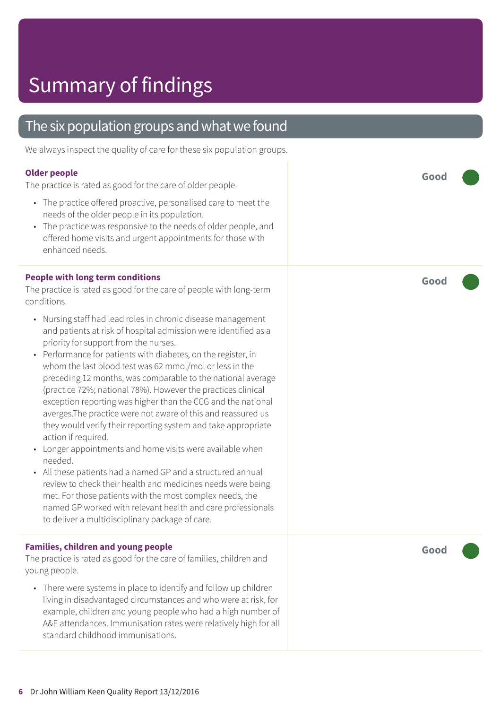### The six population groups and what we found

We always inspect the quality of care for these six population groups.

#### **Older people**

The practice is rated as good for the care of older people.

- The practice offered proactive, personalised care to meet the needs of the older people in its population.
- The practice was responsive to the needs of older people, and offered home visits and urgent appointments for those with enhanced needs.

#### **People with long term conditions**

The practice is rated as good for the care of people with long-term conditions.

- Nursing staff had lead roles in chronic disease management and patients at risk of hospital admission were identified as a priority for support from the nurses.
- Performance for patients with diabetes, on the register, in whom the last blood test was 62 mmol/mol or less in the preceding 12 months, was comparable to the national average (practice 72%; national 78%). However the practices clinical exception reporting was higher than the CCG and the national averges.The practice were not aware of this and reassured us they would verify their reporting system and take appropriate action if required.
- Longer appointments and home visits were available when needed.
- All these patients had a named GP and a structured annual review to check their health and medicines needs were being met. For those patients with the most complex needs, the named GP worked with relevant health and care professionals to deliver a multidisciplinary package of care.

#### **Families, children and young people**

The practice is rated as good for the care of families, children and young people.

• There were systems in place to identify and follow up children living in disadvantaged circumstances and who were at risk, for example, children and young people who had a high number of A&E attendances. Immunisation rates were relatively high for all standard childhood immunisations.

**Good –––**

**Good –––**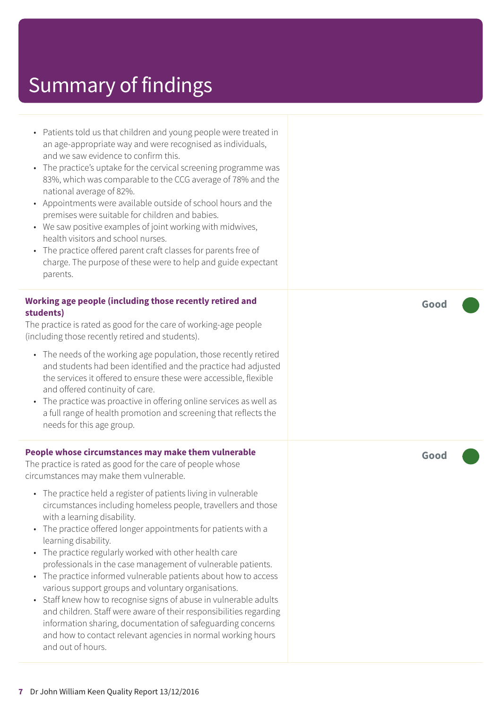- Patients told us that children and young people were treated in an age-appropriate way and were recognised as individuals, and we saw evidence to confirm this.
- The practice's uptake for the cervical screening programme was 83%, which was comparable to the CCG average of 78% and the national average of 82%.
- Appointments were available outside of school hours and the premises were suitable for children and babies.
- We saw positive examples of joint working with midwives, health visitors and school nurses.
- The practice offered parent craft classes for parents free of charge. The purpose of these were to help and guide expectant parents.

#### **Working age people (including those recently retired and students)**

The practice is rated as good for the care of working-age people (including those recently retired and students).

- The needs of the working age population, those recently retired and students had been identified and the practice had adjusted the services it offered to ensure these were accessible, flexible and offered continuity of care.
- The practice was proactive in offering online services as well as a full range of health promotion and screening that reflects the needs for this age group.

#### **People whose circumstances may make them vulnerable**

The practice is rated as good for the care of people whose circumstances may make them vulnerable.

- The practice held a register of patients living in vulnerable circumstances including homeless people, travellers and those with a learning disability.
- The practice offered longer appointments for patients with a learning disability.
- The practice regularly worked with other health care professionals in the case management of vulnerable patients.
- The practice informed vulnerable patients about how to access various support groups and voluntary organisations.
- Staff knew how to recognise signs of abuse in vulnerable adults and children. Staff were aware of their responsibilities regarding information sharing, documentation of safeguarding concerns and how to contact relevant agencies in normal working hours and out of hours.

**Good –––**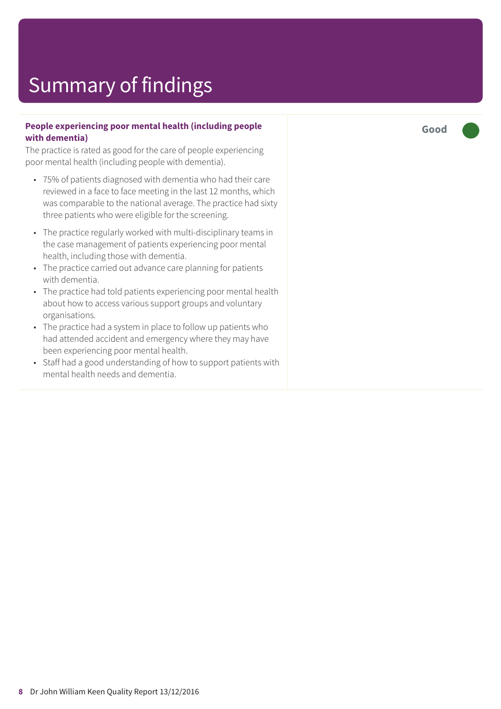#### **People experiencing poor mental health (including people with dementia)**

The practice is rated as good for the care of people experiencing poor mental health (including people with dementia).

- 75% of patients diagnosed with dementia who had their care reviewed in a face to face meeting in the last 12 months, which was comparable to the national average. The practice had sixty three patients who were eligible for the screening.
- The practice regularly worked with multi-disciplinary teams in the case management of patients experiencing poor mental health, including those with dementia.
- The practice carried out advance care planning for patients with dementia.
- The practice had told patients experiencing poor mental health about how to access various support groups and voluntary organisations.
- The practice had a system in place to follow up patients who had attended accident and emergency where they may have been experiencing poor mental health.
- Staff had a good understanding of how to support patients with mental health needs and dementia.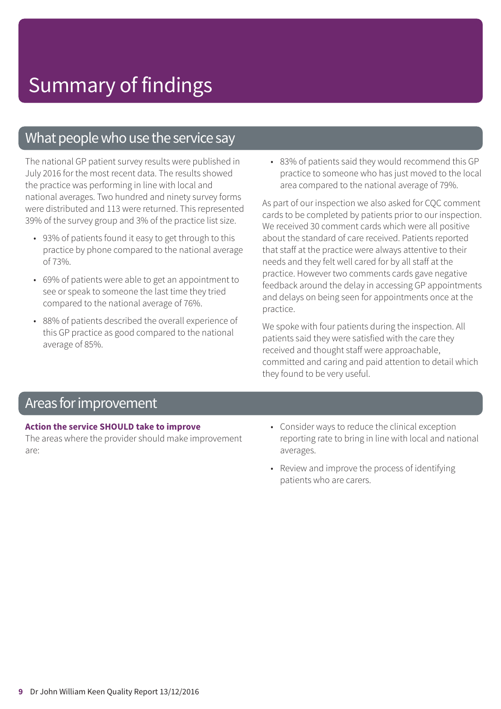### What people who use the service say

The national GP patient survey results were published in July 2016 for the most recent data. The results showed the practice was performing in line with local and national averages. Two hundred and ninety survey forms were distributed and 113 were returned. This represented 39% of the survey group and 3% of the practice list size.

- 93% of patients found it easy to get through to this practice by phone compared to the national average of 73%.
- 69% of patients were able to get an appointment to see or speak to someone the last time they tried compared to the national average of 76%.
- 88% of patients described the overall experience of this GP practice as good compared to the national average of 85%.

• 83% of patients said they would recommend this GP practice to someone who has just moved to the local area compared to the national average of 79%.

As part of our inspection we also asked for CQC comment cards to be completed by patients prior to our inspection. We received 30 comment cards which were all positive about the standard of care received. Patients reported that staff at the practice were always attentive to their needs and they felt well cared for by all staff at the practice. However two comments cards gave negative feedback around the delay in accessing GP appointments and delays on being seen for appointments once at the practice.

We spoke with four patients during the inspection. All patients said they were satisfied with the care they received and thought staff were approachable, committed and caring and paid attention to detail which they found to be very useful.

### Areas forimprovement

#### **Action the service SHOULD take to improve**

The areas where the provider should make improvement are:

- Consider ways to reduce the clinical exception reporting rate to bring in line with local and national averages.
- Review and improve the process of identifying patients who are carers.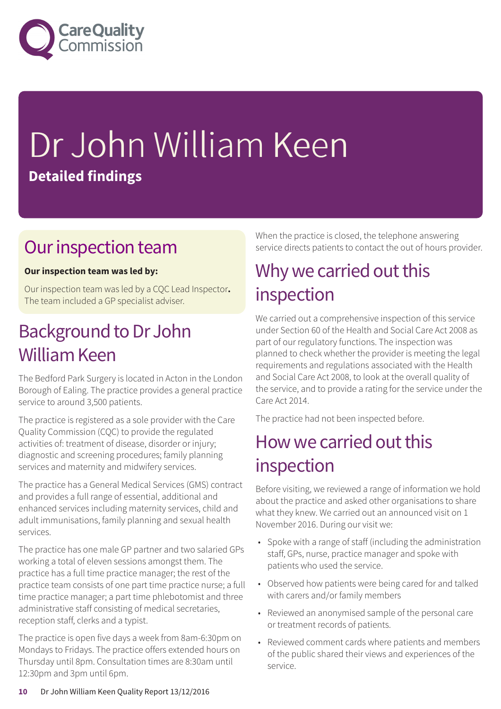

# Dr John William Keen **Detailed findings**

### Our inspection team

### **Our inspection team was led by:**

Our inspection team was led by a CQC Lead Inspector**.** The team included a GP specialist adviser.

### Background to Dr John William Keen

The Bedford Park Surgery is located in Acton in the London Borough of Ealing. The practice provides a general practice service to around 3,500 patients.

The practice is registered as a sole provider with the Care Quality Commission (CQC) to provide the regulated activities of: treatment of disease, disorder or injury; diagnostic and screening procedures; family planning services and maternity and midwifery services.

The practice has a General Medical Services (GMS) contract and provides a full range of essential, additional and enhanced services including maternity services, child and adult immunisations, family planning and sexual health services.

The practice has one male GP partner and two salaried GPs working a total of eleven sessions amongst them. The practice has a full time practice manager; the rest of the practice team consists of one part time practice nurse; a full time practice manager; a part time phlebotomist and three administrative staff consisting of medical secretaries, reception staff, clerks and a typist.

The practice is open five days a week from 8am-6:30pm on Mondays to Fridays. The practice offers extended hours on Thursday until 8pm. Consultation times are 8:30am until 12:30pm and 3pm until 6pm.

When the practice is closed, the telephone answering service directs patients to contact the out of hours provider.

### Why we carried out this inspection

We carried out a comprehensive inspection of this service under Section 60 of the Health and Social Care Act 2008 as part of our regulatory functions. The inspection was planned to check whether the provider is meeting the legal requirements and regulations associated with the Health and Social Care Act 2008, to look at the overall quality of the service, and to provide a rating for the service under the Care Act 2014.

The practice had not been inspected before.

### How we carried out this inspection

Before visiting, we reviewed a range of information we hold about the practice and asked other organisations to share what they knew. We carried out an announced visit on 1 November 2016. During our visit we:

- Spoke with a range of staff (including the administration staff, GPs, nurse, practice manager and spoke with patients who used the service.
- Observed how patients were being cared for and talked with carers and/or family members
- Reviewed an anonymised sample of the personal care or treatment records of patients.
- Reviewed comment cards where patients and members of the public shared their views and experiences of the service.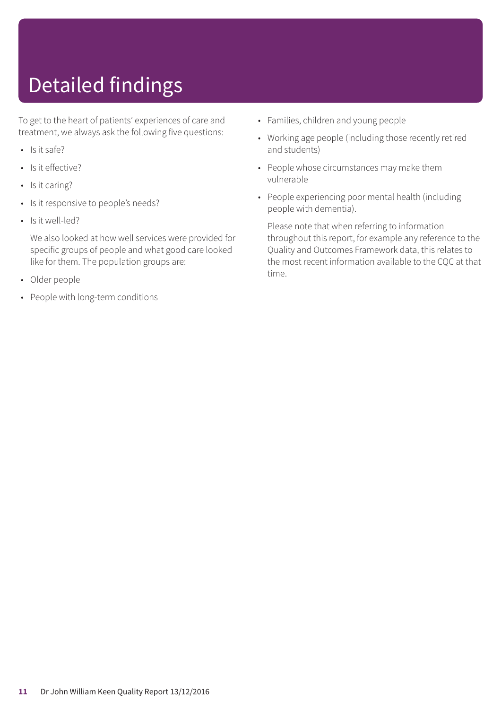# Detailed findings

To get to the heart of patients' experiences of care and treatment, we always ask the following five questions:

- Is it safe?
- Is it effective?
- Is it caring?
- Is it responsive to people's needs?
- Is it well-led?

We also looked at how well services were provided for specific groups of people and what good care looked like for them. The population groups are:

- Older people
- People with long-term conditions
- Families, children and young people
- Working age people (including those recently retired and students)
- People whose circumstances may make them vulnerable
- People experiencing poor mental health (including people with dementia).

Please note that when referring to information throughout this report, for example any reference to the Quality and Outcomes Framework data, this relates to the most recent information available to the CQC at that time.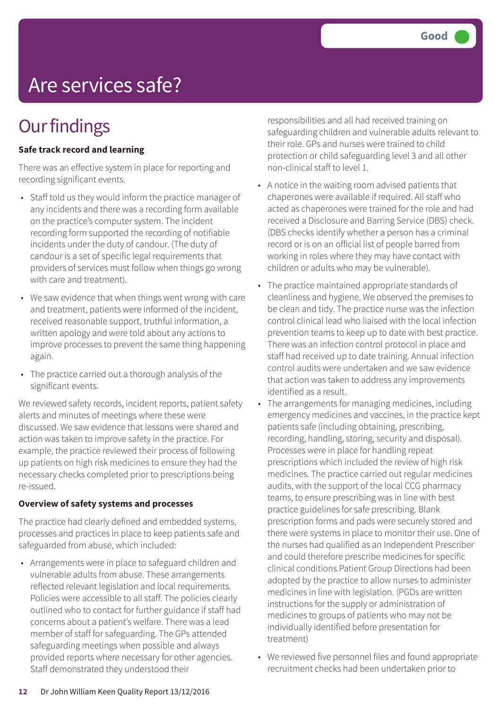# Are services safe?

### **Our findings**

### **Safe track record and learning**

There was an effective system in place for reporting and recording significant events.

- Staff told us they would inform the practice manager of any incidents and there was a recording form available on the practice's computer system. The incident recording form supported the recording of notifiable incidents under the duty of candour. (The duty of candour is a set of specific legal requirements that providers of services must follow when things go wrong with care and treatment).
- We saw evidence that when things went wrong with care and treatment, patients were informed of the incident, received reasonable support, truthful information, a written apology and were told about any actions to improve processes to prevent the same thing happening again.
- The practice carried out a thorough analysis of the significant events.

We reviewed safety records, incident reports, patient safety alerts and minutes of meetings where these were discussed. We saw evidence that lessons were shared and action was taken to improve safety in the practice. For example, the practice reviewed their process of following up patients on high risk medicines to ensure they had the necessary checks completed prior to prescriptions being re-issued.

#### **Overview of safety systems and processes**

The practice had clearly defined and embedded systems, processes and practices in place to keep patients safe and safeguarded from abuse, which included:

• Arrangements were in place to safeguard children and vulnerable adults from abuse. These arrangements reflected relevant legislation and local requirements. Policies were accessible to all staff. The policies clearly outlined who to contact for further guidance if staff had concerns about a patient's welfare. There was a lead member of staff for safeguarding. The GPs attended safeguarding meetings when possible and always provided reports where necessary for other agencies. Staff demonstrated they understood their

responsibilities and all had received training on safeguarding children and vulnerable adults relevant to their role. GPs and nurses were trained to child protection or child safeguarding level 3 and all other non-clinical staff to level 1.

- A notice in the waiting room advised patients that chaperones were available if required. All staff who acted as chaperones were trained for the role and had received a Disclosure and Barring Service (DBS) check. (DBS checks identify whether a person has a criminal record or is on an official list of people barred from working in roles where they may have contact with children or adults who may be vulnerable).
- The practice maintained appropriate standards of cleanliness and hygiene. We observed the premises to be clean and tidy. The practice nurse was the infection control clinical lead who liaised with the local infection prevention teams to keep up to date with best practice. There was an infection control protocol in place and staff had received up to date training. Annual infection control audits were undertaken and we saw evidence that action was taken to address any improvements identified as a result.
- The arrangements for managing medicines, including emergency medicines and vaccines, in the practice kept patients safe (including obtaining, prescribing, recording, handling, storing, security and disposal). Processes were in place for handling repeat prescriptions which included the review of high risk medicines. The practice carried out regular medicines audits, with the support of the local CCG pharmacy teams, to ensure prescribing was in line with best practice guidelines for safe prescribing. Blank prescription forms and pads were securely stored and there were systems in place to monitor their use. One of the nurses had qualified as an Independent Prescriber and could therefore prescribe medicines for specific clinical conditions.Patient Group Directions had been adopted by the practice to allow nurses to administer medicines in line with legislation. (PGDs are written instructions for the supply or administration of medicines to groups of patients who may not be individually identified before presentation for treatment)
- We reviewed five personnel files and found appropriate recruitment checks had been undertaken prior to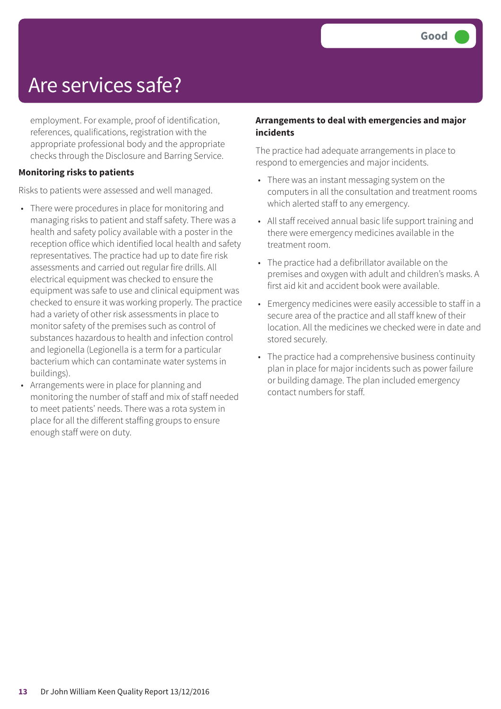### Are services safe?

employment. For example, proof of identification, references, qualifications, registration with the appropriate professional body and the appropriate checks through the Disclosure and Barring Service.

#### **Monitoring risks to patients**

Risks to patients were assessed and well managed.

- There were procedures in place for monitoring and managing risks to patient and staff safety. There was a health and safety policy available with a poster in the reception office which identified local health and safety representatives. The practice had up to date fire risk assessments and carried out regular fire drills. All electrical equipment was checked to ensure the equipment was safe to use and clinical equipment was checked to ensure it was working properly. The practice had a variety of other risk assessments in place to monitor safety of the premises such as control of substances hazardous to health and infection control and legionella (Legionella is a term for a particular bacterium which can contaminate water systems in buildings).
- Arrangements were in place for planning and monitoring the number of staff and mix of staff needed to meet patients' needs. There was a rota system in place for all the different staffing groups to ensure enough staff were on duty.

#### **Arrangements to deal with emergencies and major incidents**

The practice had adequate arrangements in place to respond to emergencies and major incidents.

- There was an instant messaging system on the computers in all the consultation and treatment rooms which alerted staff to any emergency.
- All staff received annual basic life support training and there were emergency medicines available in the treatment room.
- The practice had a defibrillator available on the premises and oxygen with adult and children's masks. A first aid kit and accident book were available.
- Emergency medicines were easily accessible to staff in a secure area of the practice and all staff knew of their location. All the medicines we checked were in date and stored securely.
- The practice had a comprehensive business continuity plan in place for major incidents such as power failure or building damage. The plan included emergency contact numbers for staff.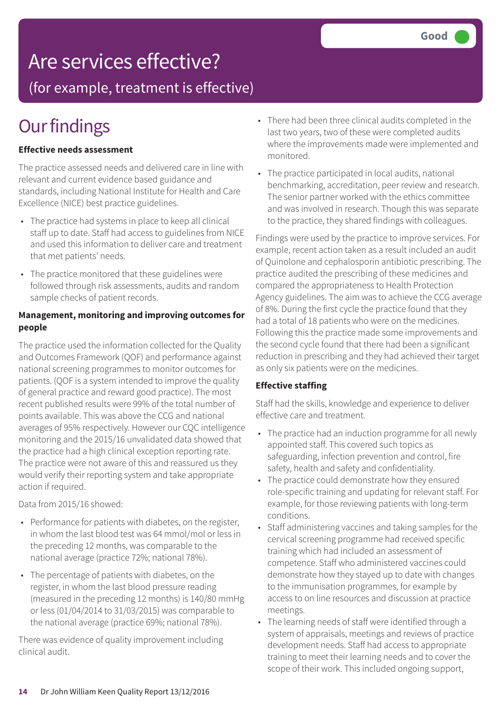### Are services effective?

(for example, treatment is effective)

### **Our findings**

### **Effective needs assessment**

The practice assessed needs and delivered care in line with relevant and current evidence based guidance and standards, including National Institute for Health and Care Excellence (NICE) best practice guidelines.

- The practice had systems in place to keep all clinical staff up to date. Staff had access to guidelines from NICE and used this information to deliver care and treatment that met patients' needs.
- The practice monitored that these guidelines were followed through risk assessments, audits and random sample checks of patient records.

#### **Management, monitoring and improving outcomes for people**

The practice used the information collected for the Quality and Outcomes Framework (QOF) and performance against national screening programmes to monitor outcomes for patients. (QOF is a system intended to improve the quality of general practice and reward good practice). The most recent published results were 99% of the total number of points available. This was above the CCG and national averages of 95% respectively. However our CQC intelligence monitoring and the 2015/16 unvalidated data showed that the practice had a high clinical exception reporting rate. The practice were not aware of this and reassured us they would verify their reporting system and take appropriate action if required.

Data from 2015/16 showed:

- Performance for patients with diabetes, on the register, in whom the last blood test was 64 mmol/mol or less in the preceding 12 months, was comparable to the national average (practice 72%; national 78%).
- The percentage of patients with diabetes, on the register, in whom the last blood pressure reading (measured in the preceding 12 months) is 140/80 mmHg or less (01/04/2014 to 31/03/2015) was comparable to the national average (practice 69%; national 78%).

There was evidence of quality improvement including clinical audit.

- There had been three clinical audits completed in the last two years, two of these were completed audits where the improvements made were implemented and monitored.
- The practice participated in local audits, national benchmarking, accreditation, peer review and research. The senior partner worked with the ethics committee and was involved in research. Though this was separate to the practice, they shared findings with colleagues.

Findings were used by the practice to improve services. For example, recent action taken as a result included an audit of Quinolone and cephalosporin antibiotic prescribing. The practice audited the prescribing of these medicines and compared the appropriateness to Health Protection Agency guidelines. The aim was to achieve the CCG average of 8%. During the first cycle the practice found that they had a total of 18 patients who were on the medicines. Following this the practice made some improvements and the second cycle found that there had been a significant reduction in prescribing and they had achieved their target as only six patients were on the medicines.

#### **Effective staffing**

Staff had the skills, knowledge and experience to deliver effective care and treatment.

- The practice had an induction programme for all newly appointed staff. This covered such topics as safeguarding, infection prevention and control, fire safety, health and safety and confidentiality.
- The practice could demonstrate how they ensured role-specific training and updating for relevant staff. For example, for those reviewing patients with long-term conditions.
- Staff administering vaccines and taking samples for the cervical screening programme had received specific training which had included an assessment of competence. Staff who administered vaccines could demonstrate how they stayed up to date with changes to the immunisation programmes, for example by access to on line resources and discussion at practice meetings.
- The learning needs of staff were identified through a system of appraisals, meetings and reviews of practice development needs. Staff had access to appropriate training to meet their learning needs and to cover the scope of their work. This included ongoing support,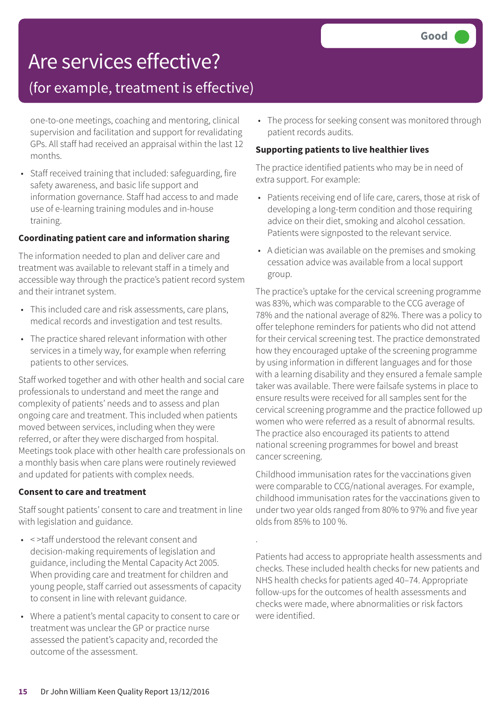### Are services effective?

### (for example, treatment is effective)

one-to-one meetings, coaching and mentoring, clinical supervision and facilitation and support for revalidating GPs. All staff had received an appraisal within the last 12 months.

• Staff received training that included: safeguarding, fire safety awareness, and basic life support and information governance. Staff had access to and made use of e-learning training modules and in-house training.

#### **Coordinating patient care and information sharing**

The information needed to plan and deliver care and treatment was available to relevant staff in a timely and accessible way through the practice's patient record system and their intranet system.

- This included care and risk assessments, care plans, medical records and investigation and test results.
- The practice shared relevant information with other services in a timely way, for example when referring patients to other services.

Staff worked together and with other health and social care professionals to understand and meet the range and complexity of patients' needs and to assess and plan ongoing care and treatment. This included when patients moved between services, including when they were referred, or after they were discharged from hospital. Meetings took place with other health care professionals on a monthly basis when care plans were routinely reviewed and updated for patients with complex needs.

#### **Consent to care and treatment**

Staff sought patients' consent to care and treatment in line with legislation and guidance.

- < >taff understood the relevant consent and decision-making requirements of legislation and guidance, including the Mental Capacity Act 2005. When providing care and treatment for children and young people, staff carried out assessments of capacity to consent in line with relevant guidance.
- Where a patient's mental capacity to consent to care or treatment was unclear the GP or practice nurse assessed the patient's capacity and, recorded the outcome of the assessment.

• The process for seeking consent was monitored through patient records audits.

### **Supporting patients to live healthier lives**

The practice identified patients who may be in need of extra support. For example:

- Patients receiving end of life care, carers, those at risk of developing a long-term condition and those requiring advice on their diet, smoking and alcohol cessation. Patients were signposted to the relevant service.
- A dietician was available on the premises and smoking cessation advice was available from a local support group.

The practice's uptake for the cervical screening programme was 83%, which was comparable to the CCG average of 78% and the national average of 82%. There was a policy to offer telephone reminders for patients who did not attend for their cervical screening test. The practice demonstrated how they encouraged uptake of the screening programme by using information in different languages and for those with a learning disability and they ensured a female sample taker was available. There were failsafe systems in place to ensure results were received for all samples sent for the cervical screening programme and the practice followed up women who were referred as a result of abnormal results. The practice also encouraged its patients to attend national screening programmes for bowel and breast cancer screening.

Childhood immunisation rates for the vaccinations given were comparable to CCG/national averages. For example, childhood immunisation rates for the vaccinations given to under two year olds ranged from 80% to 97% and five year olds from 85% to 100 %.

.

Patients had access to appropriate health assessments and checks. These included health checks for new patients and NHS health checks for patients aged 40–74. Appropriate follow-ups for the outcomes of health assessments and checks were made, where abnormalities or risk factors were identified.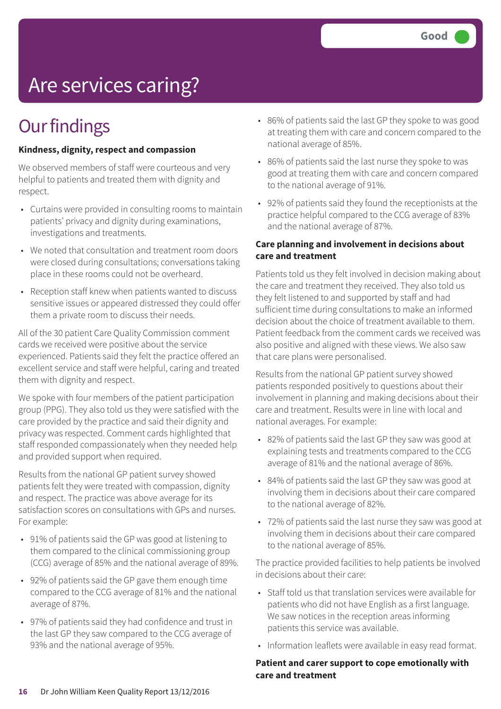# Are services caring?

### **Our findings**

### **Kindness, dignity, respect and compassion**

We observed members of staff were courteous and very helpful to patients and treated them with dignity and respect.

- Curtains were provided in consulting rooms to maintain patients' privacy and dignity during examinations, investigations and treatments.
- We noted that consultation and treatment room doors were closed during consultations; conversations taking place in these rooms could not be overheard.
- Reception staff knew when patients wanted to discuss sensitive issues or appeared distressed they could offer them a private room to discuss their needs.

All of the 30 patient Care Quality Commission comment cards we received were positive about the service experienced. Patients said they felt the practice offered an excellent service and staff were helpful, caring and treated them with dignity and respect.

We spoke with four members of the patient participation group (PPG). They also told us they were satisfied with the care provided by the practice and said their dignity and privacy was respected. Comment cards highlighted that staff responded compassionately when they needed help and provided support when required.

Results from the national GP patient survey showed patients felt they were treated with compassion, dignity and respect. The practice was above average for its satisfaction scores on consultations with GPs and nurses. For example:

- 91% of patients said the GP was good at listening to them compared to the clinical commissioning group (CCG) average of 85% and the national average of 89%.
- 92% of patients said the GP gave them enough time compared to the CCG average of 81% and the national average of 87%.
- 97% of patients said they had confidence and trust in the last GP they saw compared to the CCG average of 93% and the national average of 95%.
- 86% of patients said the last GP they spoke to was good at treating them with care and concern compared to the national average of 85%.
- 86% of patients said the last nurse they spoke to was good at treating them with care and concern compared to the national average of 91%.
- 92% of patients said they found the receptionists at the practice helpful compared to the CCG average of 83% and the national average of 87%.

### **Care planning and involvement in decisions about care and treatment**

Patients told us they felt involved in decision making about the care and treatment they received. They also told us they felt listened to and supported by staff and had sufficient time during consultations to make an informed decision about the choice of treatment available to them. Patient feedback from the comment cards we received was also positive and aligned with these views. We also saw that care plans were personalised.

Results from the national GP patient survey showed patients responded positively to questions about their involvement in planning and making decisions about their care and treatment. Results were in line with local and national averages. For example:

- 82% of patients said the last GP they saw was good at explaining tests and treatments compared to the CCG average of 81% and the national average of 86%.
- 84% of patients said the last GP they saw was good at involving them in decisions about their care compared to the national average of 82%.
- 72% of patients said the last nurse they saw was good at involving them in decisions about their care compared to the national average of 85%.

The practice provided facilities to help patients be involved in decisions about their care:

- Staff told us that translation services were available for patients who did not have English as a first language. We saw notices in the reception areas informing patients this service was available.
- Information leaflets were available in easy read format.

#### **Patient and carer support to cope emotionally with care and treatment**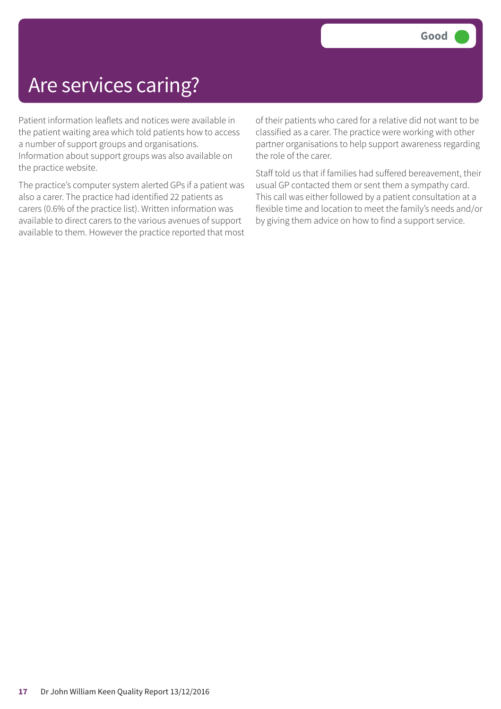### Are services caring?

Patient information leaflets and notices were available in the patient waiting area which told patients how to access a number of support groups and organisations. Information about support groups was also available on the practice website.

The practice's computer system alerted GPs if a patient was also a carer. The practice had identified 22 patients as carers (0.6% of the practice list). Written information was available to direct carers to the various avenues of support available to them. However the practice reported that most

of their patients who cared for a relative did not want to be classified as a carer. The practice were working with other partner organisations to help support awareness regarding the role of the carer.

Staff told us that if families had suffered bereavement, their usual GP contacted them or sent them a sympathy card. This call was either followed by a patient consultation at a flexible time and location to meet the family's needs and/or by giving them advice on how to find a support service.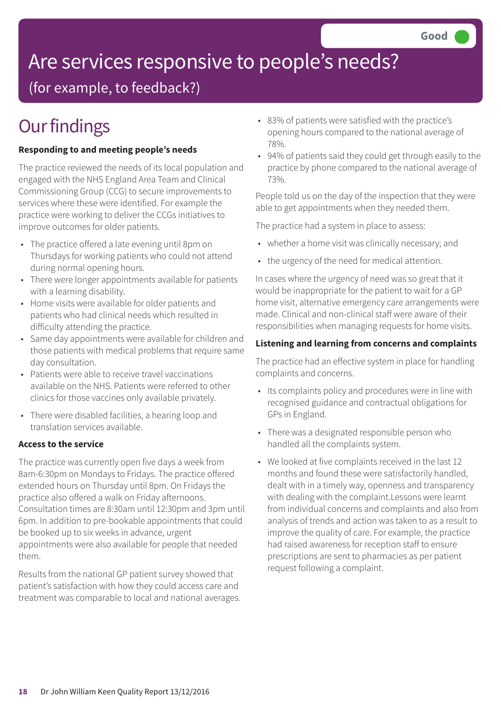# Are services responsive to people's needs?

(for example, to feedback?)

### **Our findings**

### **Responding to and meeting people's needs**

The practice reviewed the needs of its local population and engaged with the NHS England Area Team and Clinical Commissioning Group (CCG) to secure improvements to services where these were identified. For example the practice were working to deliver the CCGs initiatives to improve outcomes for older patients.

- The practice offered a late evening until 8pm on Thursdays for working patients who could not attend during normal opening hours.
- There were longer appointments available for patients with a learning disability.
- Home visits were available for older patients and patients who had clinical needs which resulted in difficulty attending the practice.
- Same day appointments were available for children and those patients with medical problems that require same day consultation.
- Patients were able to receive travel vaccinations available on the NHS. Patients were referred to other clinics for those vaccines only available privately.
- There were disabled facilities, a hearing loop and translation services available.

### **Access to the service**

The practice was currently open five days a week from 8am-6:30pm on Mondays to Fridays. The practice offered extended hours on Thursday until 8pm. On Fridays the practice also offered a walk on Friday afternoons. Consultation times are 8:30am until 12:30pm and 3pm until 6pm. In addition to pre-bookable appointments that could be booked up to six weeks in advance, urgent appointments were also available for people that needed them.

Results from the national GP patient survey showed that patient's satisfaction with how they could access care and treatment was comparable to local and national averages.

- 83% of patients were satisfied with the practice's opening hours compared to the national average of 78%.
- 94% of patients said they could get through easily to the practice by phone compared to the national average of 73%.

People told us on the day of the inspection that they were able to get appointments when they needed them.

The practice had a system in place to assess:

- whether a home visit was clinically necessary; and
- the urgency of the need for medical attention.

In cases where the urgency of need was so great that it would be inappropriate for the patient to wait for a GP home visit, alternative emergency care arrangements were made. Clinical and non-clinical staff were aware of their responsibilities when managing requests for home visits.

### **Listening and learning from concerns and complaints**

The practice had an effective system in place for handling complaints and concerns.

- Its complaints policy and procedures were in line with recognised guidance and contractual obligations for GPs in England.
- There was a designated responsible person who handled all the complaints system.
- We looked at five complaints received in the last 12 months and found these were satisfactorily handled, dealt with in a timely way, openness and transparency with dealing with the complaint.Lessons were learnt from individual concerns and complaints and also from analysis of trends and action was taken to as a result to improve the quality of care. For example, the practice had raised awareness for reception staff to ensure prescriptions are sent to pharmacies as per patient request following a complaint.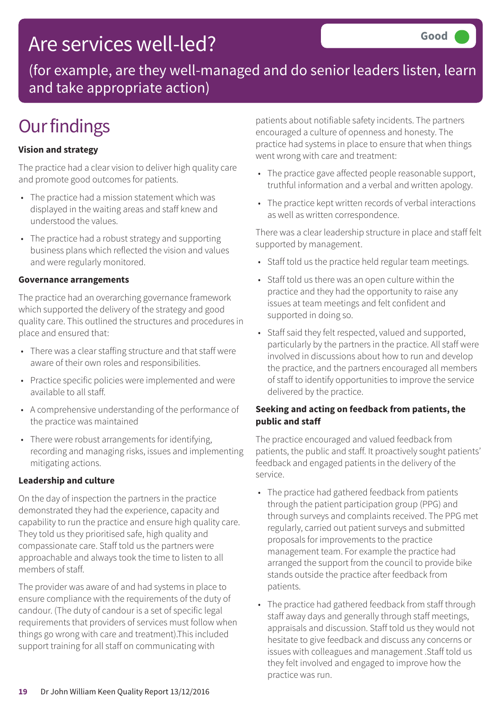### Are services well-led?

(for example, are they well-managed and do senior leaders listen, learn and take appropriate action)

### **Our findings**

### **Vision and strategy**

The practice had a clear vision to deliver high quality care and promote good outcomes for patients.

- The practice had a mission statement which was displayed in the waiting areas and staff knew and understood the values.
- The practice had a robust strategy and supporting business plans which reflected the vision and values and were regularly monitored.

#### **Governance arrangements**

The practice had an overarching governance framework which supported the delivery of the strategy and good quality care. This outlined the structures and procedures in place and ensured that:

- There was a clear staffing structure and that staff were aware of their own roles and responsibilities.
- Practice specific policies were implemented and were available to all staff.
- A comprehensive understanding of the performance of the practice was maintained
- There were robust arrangements for identifying, recording and managing risks, issues and implementing mitigating actions.

### **Leadership and culture**

On the day of inspection the partners in the practice demonstrated they had the experience, capacity and capability to run the practice and ensure high quality care. They told us they prioritised safe, high quality and compassionate care. Staff told us the partners were approachable and always took the time to listen to all members of staff.

The provider was aware of and had systems in place to ensure compliance with the requirements of the duty of candour. (The duty of candour is a set of specific legal requirements that providers of services must follow when things go wrong with care and treatment).This included support training for all staff on communicating with

patients about notifiable safety incidents. The partners encouraged a culture of openness and honesty. The practice had systems in place to ensure that when things went wrong with care and treatment:

- The practice gave affected people reasonable support, truthful information and a verbal and written apology.
- The practice kept written records of verbal interactions as well as written correspondence.

There was a clear leadership structure in place and staff felt supported by management.

- Staff told us the practice held regular team meetings.
- Staff told us there was an open culture within the practice and they had the opportunity to raise any issues at team meetings and felt confident and supported in doing so.
- Staff said they felt respected, valued and supported, particularly by the partners in the practice. All staff were involved in discussions about how to run and develop the practice, and the partners encouraged all members of staff to identify opportunities to improve the service delivered by the practice.

#### **Seeking and acting on feedback from patients, the public and staff**

The practice encouraged and valued feedback from patients, the public and staff. It proactively sought patients' feedback and engaged patients in the delivery of the service.

- The practice had gathered feedback from patients through the patient participation group (PPG) and through surveys and complaints received. The PPG met regularly, carried out patient surveys and submitted proposals for improvements to the practice management team. For example the practice had arranged the support from the council to provide bike stands outside the practice after feedback from patients.
- The practice had gathered feedback from staff through staff away days and generally through staff meetings, appraisals and discussion. Staff told us they would not hesitate to give feedback and discuss any concerns or issues with colleagues and management .Staff told us they felt involved and engaged to improve how the practice was run.